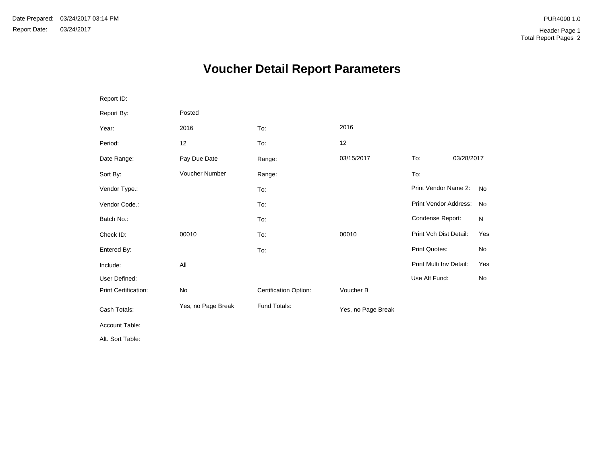# **Voucher Detail Report Parameters**

| Report ID:           |                    |                       |                    |                         |            |           |
|----------------------|--------------------|-----------------------|--------------------|-------------------------|------------|-----------|
| Report By:           | Posted             |                       |                    |                         |            |           |
| Year:                | 2016               | To:                   | 2016               |                         |            |           |
| Period:              | 12                 | To:                   | 12                 |                         |            |           |
| Date Range:          | Pay Due Date       | Range:                | 03/15/2017         | To:                     | 03/28/2017 |           |
| Sort By:             | Voucher Number     | Range:                |                    | To:                     |            |           |
| Vendor Type.:        |                    | To:                   |                    | Print Vendor Name 2:    |            | <b>No</b> |
| Vendor Code.:        |                    | To:                   |                    | Print Vendor Address:   |            | <b>No</b> |
| Batch No.:           |                    | To:                   |                    | Condense Report:        |            | N         |
| Check ID:            | 00010              | To:                   | 00010              | Print Vch Dist Detail:  |            | Yes       |
| Entered By:          |                    | To:                   |                    | Print Quotes:           |            | No        |
| Include:             | All                |                       |                    | Print Multi Inv Detail: |            | Yes       |
| User Defined:        |                    |                       |                    | Use Alt Fund:           |            | No        |
| Print Certification: | No                 | Certification Option: | Voucher B          |                         |            |           |
| Cash Totals:         | Yes, no Page Break | Fund Totals:          | Yes, no Page Break |                         |            |           |
| Account Table:       |                    |                       |                    |                         |            |           |
| Alt. Sort Table:     |                    |                       |                    |                         |            |           |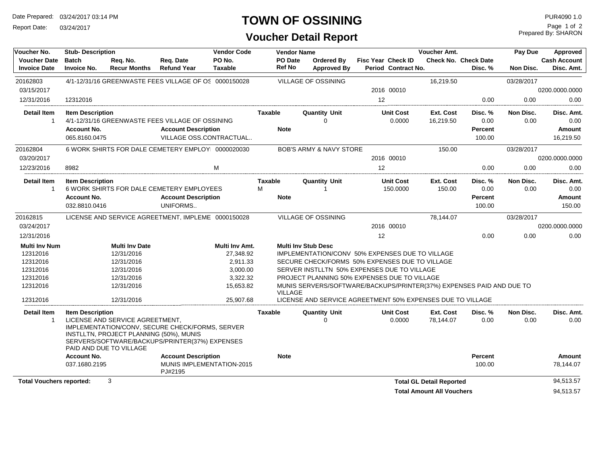Date Prepared: 03/24/2017 03:14 PM

Report Date: 03/24/2017

#### **TOWN OF OSSINING**

### **Voucher Detail Report**

Prepared By: SHARON Page 1 of 2

| Voucher No.                          | <b>Stub-Description</b>                                                                                                                                  |                       |                                      | <b>Vendor Code</b> |                | <b>Vendor Name</b>                                                                     | <b>Voucher Amt.</b>       |                            |                                  |                             | Pay Due           | Approved            |  |
|--------------------------------------|----------------------------------------------------------------------------------------------------------------------------------------------------------|-----------------------|--------------------------------------|--------------------|----------------|----------------------------------------------------------------------------------------|---------------------------|----------------------------|----------------------------------|-----------------------------|-------------------|---------------------|--|
| <b>Voucher Date</b>                  | <b>Batch</b>                                                                                                                                             | Reg. No.              | Req. Date                            | PO No.             | PO Date        | <b>Ordered By</b>                                                                      | <b>Fisc Year Check ID</b> |                            |                                  | <b>Check No. Check Date</b> |                   | <b>Cash Account</b> |  |
| <b>Invoice Date</b>                  | <b>Invoice No.</b>                                                                                                                                       | <b>Recur Months</b>   | <b>Refund Year</b>                   | <b>Taxable</b>     | <b>Ref No</b>  | <b>Approved By</b>                                                                     |                           | Period Contract No.        |                                  | Disc. %                     | Non Disc.         | Disc. Amt.          |  |
| 20162803                             | 4/1-12/31/16 GREENWASTE FEES VILLAGE OF OS 0000150028                                                                                                    |                       |                                      |                    |                | VILLAGE OF OSSINING                                                                    |                           |                            | 16,219.50                        |                             | 03/28/2017        |                     |  |
| 03/15/2017                           |                                                                                                                                                          |                       |                                      |                    |                |                                                                                        | 2016 00010                |                            |                                  |                             |                   | 0200.0000.0000      |  |
| 12/31/2016                           | 12312016                                                                                                                                                 |                       |                                      |                    |                |                                                                                        | 12                        |                            |                                  | 0.00                        | 0.00              | 0.00                |  |
| <b>Detail Item</b>                   | <b>Item Description</b>                                                                                                                                  |                       |                                      |                    | <b>Taxable</b> | <b>Quantity Unit</b>                                                                   |                           | <b>Unit Cost</b>           | Ext. Cost                        | Disc. %                     | Non Disc.         | Disc. Amt.          |  |
| $\overline{1}$                       | 4/1-12/31/16 GREENWASTE FEES VILLAGE OF OSSINING                                                                                                         |                       |                                      |                    |                | $\Omega$                                                                               |                           | 0.0000                     | 16,219.50                        | 0.00                        | 0.00              | 0.00                |  |
|                                      | <b>Account No.</b>                                                                                                                                       |                       | <b>Account Description</b>           |                    | <b>Note</b>    |                                                                                        |                           |                            |                                  | <b>Percent</b>              |                   | Amount              |  |
|                                      | 065.8160.0475                                                                                                                                            |                       | VILLAGE OSS.CONTRACTUAL              |                    |                |                                                                                        |                           |                            |                                  | 100.00                      |                   | 16,219.50           |  |
| 20162804                             | 6 WORK SHIRTS FOR DALE CEMETERY EMPLOY 0000020030                                                                                                        |                       |                                      |                    |                | BOB'S ARMY & NAVY STORE                                                                |                           |                            | 150.00                           |                             | 03/28/2017        |                     |  |
| 03/20/2017                           |                                                                                                                                                          |                       |                                      |                    |                |                                                                                        | 2016 00010                |                            |                                  |                             |                   | 0200.0000.0000      |  |
| 12/23/2016                           | 8982                                                                                                                                                     |                       |                                      | M                  |                |                                                                                        | 12                        |                            |                                  | 0.00                        | 0.00              | 0.00                |  |
| <b>Detail Item</b>                   | <b>Item Description</b>                                                                                                                                  |                       |                                      |                    | <b>Taxable</b> | <b>Quantity Unit</b>                                                                   |                           | <b>Unit Cost</b>           | Ext. Cost                        | Disc. %                     | Non Disc.         | Disc. Amt.          |  |
| -1                                   | 6 WORK SHIRTS FOR DALE CEMETERY EMPLOYEES                                                                                                                |                       |                                      |                    | М              | 1                                                                                      |                           | 150.0000                   | 150.00                           | 0.00                        | 0.00              | 0.00                |  |
|                                      | <b>Account No.</b>                                                                                                                                       |                       | <b>Account Description</b>           |                    | <b>Note</b>    |                                                                                        |                           |                            |                                  | <b>Percent</b>              |                   | Amount              |  |
|                                      | 032.8810.0416                                                                                                                                            |                       | UNIFORMS                             |                    |                |                                                                                        |                           |                            |                                  | 100.00                      |                   | 150.00              |  |
| 20162815                             | LICENSE AND SERVICE AGREETMENT. IMPLEME 0000150028                                                                                                       |                       |                                      |                    |                | <b>VILLAGE OF OSSINING</b>                                                             |                           |                            | 78.144.07                        |                             | 03/28/2017        |                     |  |
| 03/24/2017                           |                                                                                                                                                          |                       |                                      |                    |                |                                                                                        | 2016 00010                |                            |                                  |                             |                   | 0200.0000.0000      |  |
| 12/31/2016                           |                                                                                                                                                          |                       |                                      |                    |                |                                                                                        | 12                        |                            |                                  | 0.00                        | 0.00              | 0.00                |  |
| <b>Multi Inv Num</b>                 |                                                                                                                                                          | <b>Multi Inv Date</b> |                                      | Multi Inv Amt.     |                | <b>Multi Inv Stub Desc</b>                                                             |                           |                            |                                  |                             |                   |                     |  |
| 12312016                             |                                                                                                                                                          | 12/31/2016            |                                      | 27,348.92          |                | IMPLEMENTATION/CONV 50% EXPENSES DUE TO VILLAGE                                        |                           |                            |                                  |                             |                   |                     |  |
| 12312016                             |                                                                                                                                                          | 12/31/2016            |                                      | 2,911.33           |                | SECURE CHECK/FORMS 50% EXPENSES DUE TO VILLAGE                                         |                           |                            |                                  |                             |                   |                     |  |
| 12312016                             |                                                                                                                                                          | 12/31/2016            |                                      | 3.000.00           |                | SERVER INSTLLTN 50% EXPENSES DUE TO VILLAGE                                            |                           |                            |                                  |                             |                   |                     |  |
| 12312016                             |                                                                                                                                                          | 12/31/2016            |                                      | 3,322.32           |                | PROJECT PLANNING 50% EXPENSES DUE TO VILLAGE                                           |                           |                            |                                  |                             |                   |                     |  |
| 12312016                             |                                                                                                                                                          | 12/31/2016            |                                      | 15.653.82          |                | MUNIS SERVERS/SOFTWARE/BACKUPS/PRINTER(37%) EXPENSES PAID AND DUE TO<br><b>VILLAGE</b> |                           |                            |                                  |                             |                   |                     |  |
| 12312016                             | 25.907.68<br>LICENSE AND SERVICE AGREETMENT 50% EXPENSES DUE TO VILLAGE<br>12/31/2016                                                                    |                       |                                      |                    |                |                                                                                        |                           |                            |                                  |                             |                   |                     |  |
| <b>Detail Item</b><br>$\overline{1}$ | <b>Item Description</b><br>LICENSE AND SERVICE AGREETMENT.<br>IMPLEMENTATION/CONV, SECURE CHECK/FORMS, SERVER<br>INSTLLTN, PROJECT PLANNING (50%), MUNIS |                       |                                      |                    | Taxable        | <b>Quantity Unit</b><br>$\Omega$                                                       |                           | <b>Unit Cost</b><br>0.0000 | Ext. Cost<br>78,144.07           | Disc. %<br>0.00             | Non Disc.<br>0.00 | Disc. Amt.<br>0.00  |  |
|                                      | SERVERS/SOFTWARE/BACKUPS/PRINTER(37%) EXPENSES<br>PAID AND DUE TO VILLAGE                                                                                |                       |                                      |                    |                |                                                                                        |                           |                            |                                  |                             |                   |                     |  |
|                                      | <b>Account No.</b>                                                                                                                                       |                       | <b>Account Description</b>           |                    | <b>Note</b>    |                                                                                        |                           |                            |                                  | <b>Percent</b>              |                   | <b>Amount</b>       |  |
|                                      | 037.1680.2195                                                                                                                                            |                       | MUNIS IMPLEMENTATION-2015<br>PJ#2195 |                    |                |                                                                                        |                           |                            |                                  | 100.00                      |                   | 78,144.07           |  |
| <b>Total Vouchers reported:</b>      | 3                                                                                                                                                        |                       |                                      |                    |                |                                                                                        |                           |                            | <b>Total GL Detail Reported</b>  |                             |                   | 94,513.57           |  |
|                                      |                                                                                                                                                          |                       |                                      |                    |                |                                                                                        |                           |                            | <b>Total Amount All Vouchers</b> |                             |                   | 94,513.57           |  |